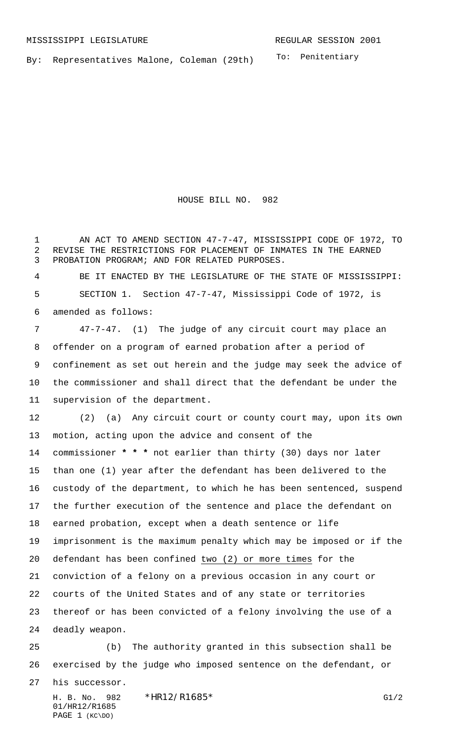To: Penitentiary By: Representatives Malone, Coleman (29th)

HOUSE BILL NO. 982

 AN ACT TO AMEND SECTION 47-7-47, MISSISSIPPI CODE OF 1972, TO REVISE THE RESTRICTIONS FOR PLACEMENT OF INMATES IN THE EARNED PROBATION PROGRAM; AND FOR RELATED PURPOSES.

 BE IT ENACTED BY THE LEGISLATURE OF THE STATE OF MISSISSIPPI: SECTION 1. Section 47-7-47, Mississippi Code of 1972, is amended as follows:

 47-7-47. (1) The judge of any circuit court may place an offender on a program of earned probation after a period of confinement as set out herein and the judge may seek the advice of the commissioner and shall direct that the defendant be under the supervision of the department.

 (2) (a) Any circuit court or county court may, upon its own motion, acting upon the advice and consent of the commissioner **\* \* \*** not earlier than thirty (30) days nor later than one (1) year after the defendant has been delivered to the custody of the department, to which he has been sentenced, suspend the further execution of the sentence and place the defendant on earned probation, except when a death sentence or life imprisonment is the maximum penalty which may be imposed or if the defendant has been confined two (2) or more times for the conviction of a felony on a previous occasion in any court or courts of the United States and of any state or territories thereof or has been convicted of a felony involving the use of a deadly weapon.

 (b) The authority granted in this subsection shall be exercised by the judge who imposed sentence on the defendant, or his successor.

H. B. No. 982 \* HR12/R1685\* G1/2 01/HR12/R1685 PAGE 1 (KC\DO)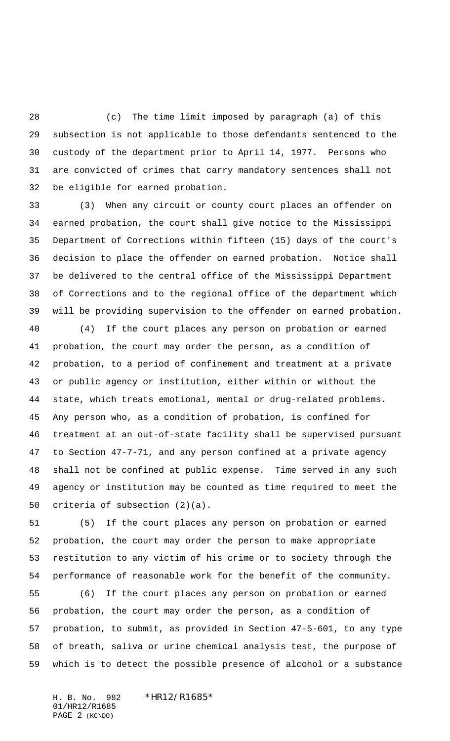(c) The time limit imposed by paragraph (a) of this subsection is not applicable to those defendants sentenced to the custody of the department prior to April 14, 1977. Persons who are convicted of crimes that carry mandatory sentences shall not be eligible for earned probation.

 (3) When any circuit or county court places an offender on earned probation, the court shall give notice to the Mississippi Department of Corrections within fifteen (15) days of the court's decision to place the offender on earned probation. Notice shall be delivered to the central office of the Mississippi Department of Corrections and to the regional office of the department which will be providing supervision to the offender on earned probation.

 (4) If the court places any person on probation or earned probation, the court may order the person, as a condition of probation, to a period of confinement and treatment at a private or public agency or institution, either within or without the state, which treats emotional, mental or drug-related problems**.** Any person who, as a condition of probation, is confined for treatment at an out-of-state facility shall be supervised pursuant to Section 47-7-71, and any person confined at a private agency shall not be confined at public expense. Time served in any such agency or institution may be counted as time required to meet the criteria of subsection (2)(a).

 (5) If the court places any person on probation or earned probation, the court may order the person to make appropriate restitution to any victim of his crime or to society through the performance of reasonable work for the benefit of the community.

 (6) If the court places any person on probation or earned probation, the court may order the person, as a condition of probation, to submit, as provided in Section 47-5-601, to any type of breath, saliva or urine chemical analysis test, the purpose of which is to detect the possible presence of alcohol or a substance

H. B. No. 982 \*HR12/R1685\* 01/HR12/R1685 PAGE 2 (KC\DO)